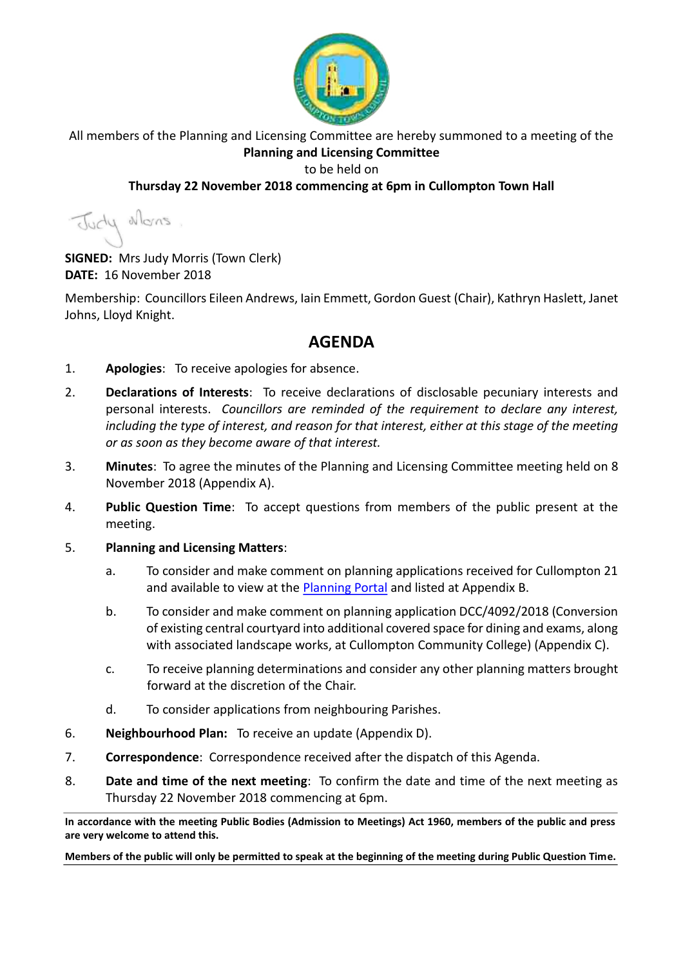

All members of the Planning and Licensing Committee are hereby summoned to a meeting of the **Planning and Licensing Committee**

#### to be held on

## **Thursday 22 November 2018 commencing at 6pm in Cullompton Town Hall**

Judy Mons

**SIGNED:** Mrs Judy Morris (Town Clerk) **DATE:** 16 November 2018

Membership: Councillors Eileen Andrews, Iain Emmett, Gordon Guest (Chair), Kathryn Haslett, Janet Johns, Lloyd Knight.

## **AGENDA**

- 1. **Apologies**: To receive apologies for absence.
- 2. **Declarations of Interests**: To receive declarations of disclosable pecuniary interests and personal interests. *Councillors are reminded of the requirement to declare any interest, including the type of interest, and reason for that interest, either at this stage of the meeting or as soon as they become aware of that interest.*
- 3. **Minutes**: To agree the minutes of the Planning and Licensing Committee meeting held on 8 November 2018 (Appendix A).
- 4. **Public Question Time**: To accept questions from members of the public present at the meeting.
- 5. **Planning and Licensing Matters**:
	- a. To consider and make comment on planning applications received for Cullompton 21 and available to view at the [Planning Portal](https://planning.middevon.gov.uk/online-applications/search.do?action=simple&searchType=BuildingControl) and listed at Appendix B.
	- b. To consider and make comment on planning application DCC/4092/2018 (Conversion of existing central courtyard into additional covered space for dining and exams, along with associated landscape works, at Cullompton Community College) (Appendix C).
	- c. To receive planning determinations and consider any other planning matters brought forward at the discretion of the Chair.
	- d. To consider applications from neighbouring Parishes.
- 6. **Neighbourhood Plan:** To receive an update (Appendix D).
- 7. **Correspondence**: Correspondence received after the dispatch of this Agenda.
- 8. **Date and time of the next meeting**: To confirm the date and time of the next meeting as Thursday 22 November 2018 commencing at 6pm.

**In accordance with the meeting Public Bodies (Admission to Meetings) Act 1960, members of the public and press are very welcome to attend this.**

**Members of the public will only be permitted to speak at the beginning of the meeting during Public Question Time.**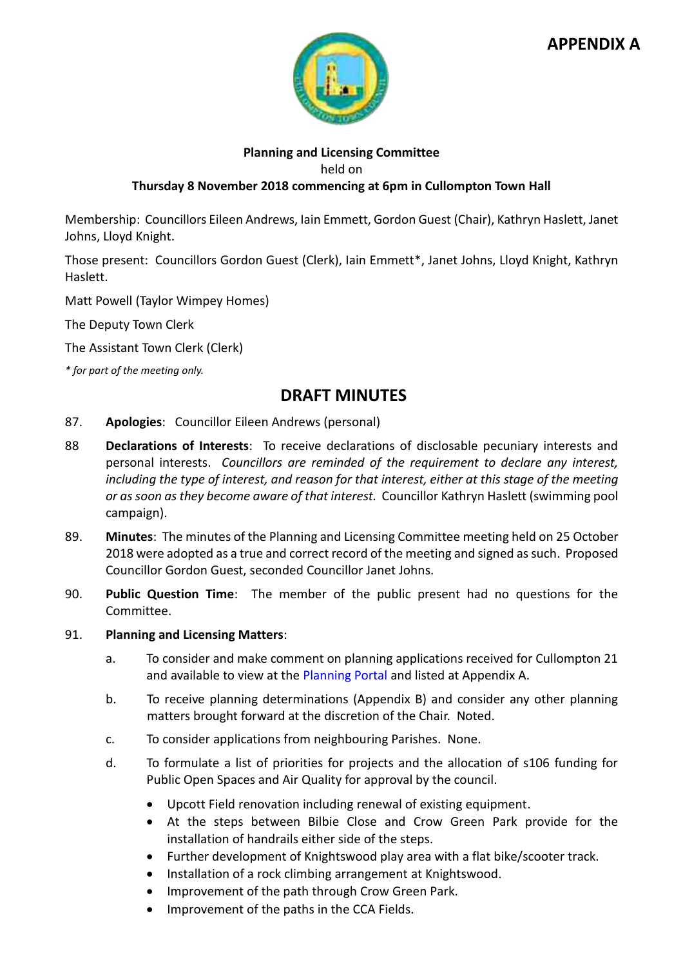

# **APPENDIX A**

#### **Planning and Licensing Committee**

held on

#### **Thursday 8 November 2018 commencing at 6pm in Cullompton Town Hall**

Membership: Councillors Eileen Andrews, Iain Emmett, Gordon Guest (Chair), Kathryn Haslett, Janet Johns, Lloyd Knight.

Those present: Councillors Gordon Guest (Clerk), Iain Emmett\*, Janet Johns, Lloyd Knight, Kathryn Haslett.

Matt Powell (Taylor Wimpey Homes)

The Deputy Town Clerk

The Assistant Town Clerk (Clerk)

*\* for part of the meeting only.*

## **DRAFT MINUTES**

- 87. **Apologies**: Councillor Eileen Andrews (personal)
- 88 **Declarations of Interests**: To receive declarations of disclosable pecuniary interests and personal interests. *Councillors are reminded of the requirement to declare any interest, including the type of interest, and reason for that interest, either at this stage of the meeting or as soon as they become aware of that interest.* Councillor Kathryn Haslett (swimming pool campaign).
- 89. **Minutes**: The minutes of the Planning and Licensing Committee meeting held on 25 October 2018 were adopted as a true and correct record of the meeting and signed as such. Proposed Councillor Gordon Guest, seconded Councillor Janet Johns.
- 90. **Public Question Time**: The member of the public present had no questions for the Committee.

#### 91. **Planning and Licensing Matters**:

- a. To consider and make comment on planning applications received for Cullompton 21 and available to view at the [Planning Portal](https://planning.middevon.gov.uk/online-applications/search.do?action=simple&searchType=BuildingControl) and listed at Appendix A.
- b. To receive planning determinations (Appendix B) and consider any other planning matters brought forward at the discretion of the Chair. Noted.
- c. To consider applications from neighbouring Parishes. None.
- d. To formulate a list of priorities for projects and the allocation of s106 funding for Public Open Spaces and Air Quality for approval by the council.
	- Upcott Field renovation including renewal of existing equipment.
	- At the steps between Bilbie Close and Crow Green Park provide for the installation of handrails either side of the steps.
	- Further development of Knightswood play area with a flat bike/scooter track.
	- Installation of a rock climbing arrangement at Knightswood.
	- Improvement of the path through Crow Green Park.
	- Improvement of the paths in the CCA Fields.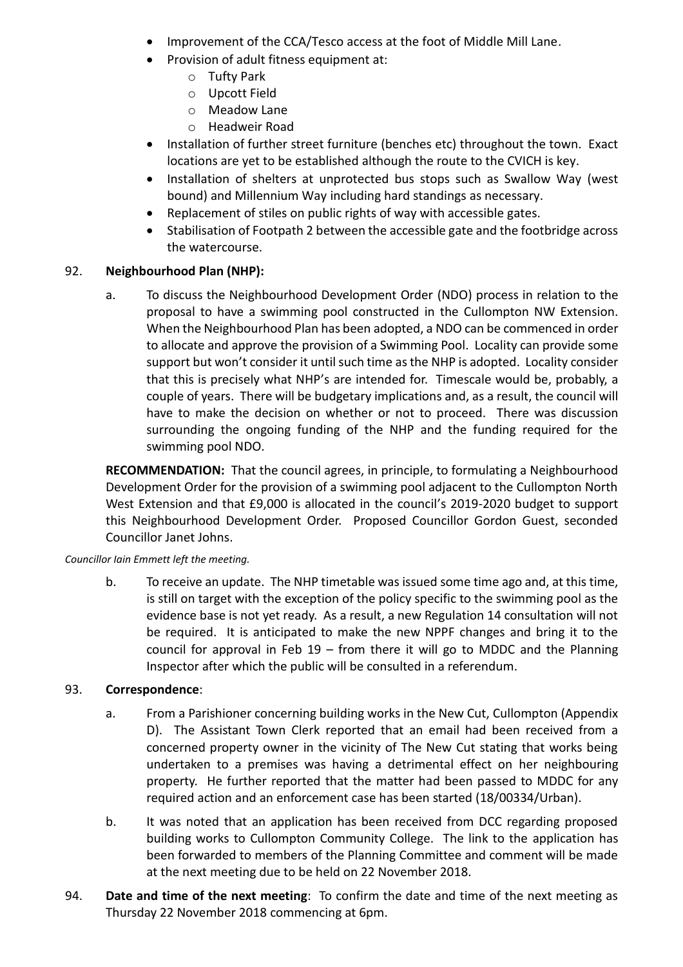- Improvement of the CCA/Tesco access at the foot of Middle Mill Lane.
- Provision of adult fitness equipment at:
	- o Tufty Park
	- o Upcott Field
	- o Meadow Lane
	- o Headweir Road
- Installation of further street furniture (benches etc) throughout the town. Exact locations are yet to be established although the route to the CVICH is key.
- Installation of shelters at unprotected bus stops such as Swallow Way (west bound) and Millennium Way including hard standings as necessary.
- Replacement of stiles on public rights of way with accessible gates.
- Stabilisation of Footpath 2 between the accessible gate and the footbridge across the watercourse.

## 92. **Neighbourhood Plan (NHP):**

a. To discuss the Neighbourhood Development Order (NDO) process in relation to the proposal to have a swimming pool constructed in the Cullompton NW Extension. When the Neighbourhood Plan has been adopted, a NDO can be commenced in order to allocate and approve the provision of a Swimming Pool. Locality can provide some support but won't consider it until such time as the NHP is adopted. Locality consider that this is precisely what NHP's are intended for. Timescale would be, probably, a couple of years. There will be budgetary implications and, as a result, the council will have to make the decision on whether or not to proceed. There was discussion surrounding the ongoing funding of the NHP and the funding required for the swimming pool NDO.

**RECOMMENDATION:** That the council agrees, in principle, to formulating a Neighbourhood Development Order for the provision of a swimming pool adjacent to the Cullompton North West Extension and that £9,000 is allocated in the council's 2019-2020 budget to support this Neighbourhood Development Order. Proposed Councillor Gordon Guest, seconded Councillor Janet Johns.

#### *Councillor Iain Emmett left the meeting.*

b. To receive an update. The NHP timetable was issued some time ago and, at this time, is still on target with the exception of the policy specific to the swimming pool as the evidence base is not yet ready. As a result, a new Regulation 14 consultation will not be required. It is anticipated to make the new NPPF changes and bring it to the council for approval in Feb  $19$  – from there it will go to MDDC and the Planning Inspector after which the public will be consulted in a referendum.

#### 93. **Correspondence**:

- a. From a Parishioner concerning building works in the New Cut, Cullompton (Appendix D). The Assistant Town Clerk reported that an email had been received from a concerned property owner in the vicinity of The New Cut stating that works being undertaken to a premises was having a detrimental effect on her neighbouring property. He further reported that the matter had been passed to MDDC for any required action and an enforcement case has been started (18/00334/Urban).
- b. It was noted that an application has been received from DCC regarding proposed building works to Cullompton Community College. The link to the application has been forwarded to members of the Planning Committee and comment will be made at the next meeting due to be held on 22 November 2018.
- 94. **Date and time of the next meeting**: To confirm the date and time of the next meeting as Thursday 22 November 2018 commencing at 6pm.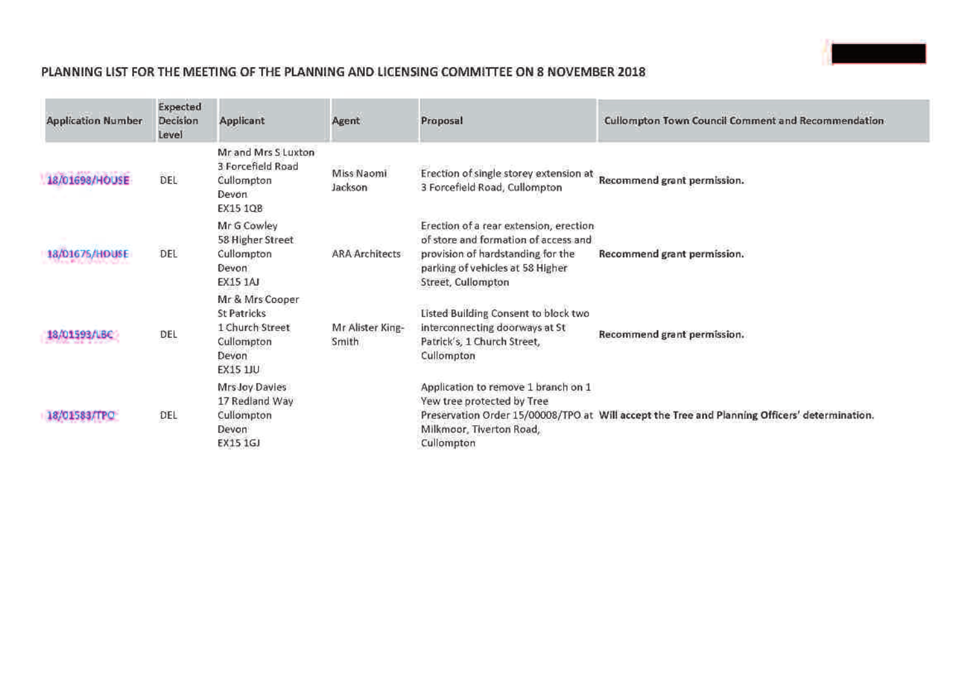## **PLANNING LIST FOR THE MEETING OF THE PLANNING AND LICENSING COMMITTEE ON 8 NOVEMBER 2018**

| <b>Application Number</b> | Expected<br>Decision<br>Level | Applicant                                                                            | Agent                     | Proposal                                                                                                                                                                      | Cullompton Town Council Comment and Recommendation                                            |
|---------------------------|-------------------------------|--------------------------------------------------------------------------------------|---------------------------|-------------------------------------------------------------------------------------------------------------------------------------------------------------------------------|-----------------------------------------------------------------------------------------------|
| 18/01698/HOUSE            | DEL                           | Mr and Mrs S Luxton<br>3 Forcefield Road<br>Cullompton<br>Devon.<br>EX15 1QB         | Miss Naomi<br>Jackson     | Erection of single storey extension at<br>3 Forcefield Road, Cullompton                                                                                                       | Recommend grant permission.                                                                   |
| 18/01675/HOUSE            | DEL                           | Mr G Cowley<br>58 Higher Street<br>Cullompton<br>Devon:<br><b>EX15 1AJ</b>           | <b>ARA Architects</b>     | Erection of a rear extension, erection<br>of store and formation of access and<br>provision of hardstanding for the<br>parking of vehicles at 58 Higher<br>Street, Cullompton | Recommend grant permission.                                                                   |
| 8/01593/LBC               | DEL                           | Mr & Mrs Cooper<br>St Patricks<br>1 Church Street<br>Cullompton<br>Devon<br>EX15 1JU | Mr Alister King-<br>Smith | Listed Building Consent to block two<br>interconnecting doorways at St<br>Patrick's, 1 Church Street,<br>Cullompton                                                           | Recommend grant permission.                                                                   |
|                           | DEL                           | Mrs Joy Davies<br>17 Redland Way<br>Cullompton<br>Devon<br>EX15 1GJ                  |                           | Application to remove 1 branch on 1<br>Yew tree protected by Tree<br>Milkmoor, Tiverton Road,<br>Cullompton                                                                   | Preservation Order 15/00008/TPO at Will accept the Tree and Planning Officers' determination. |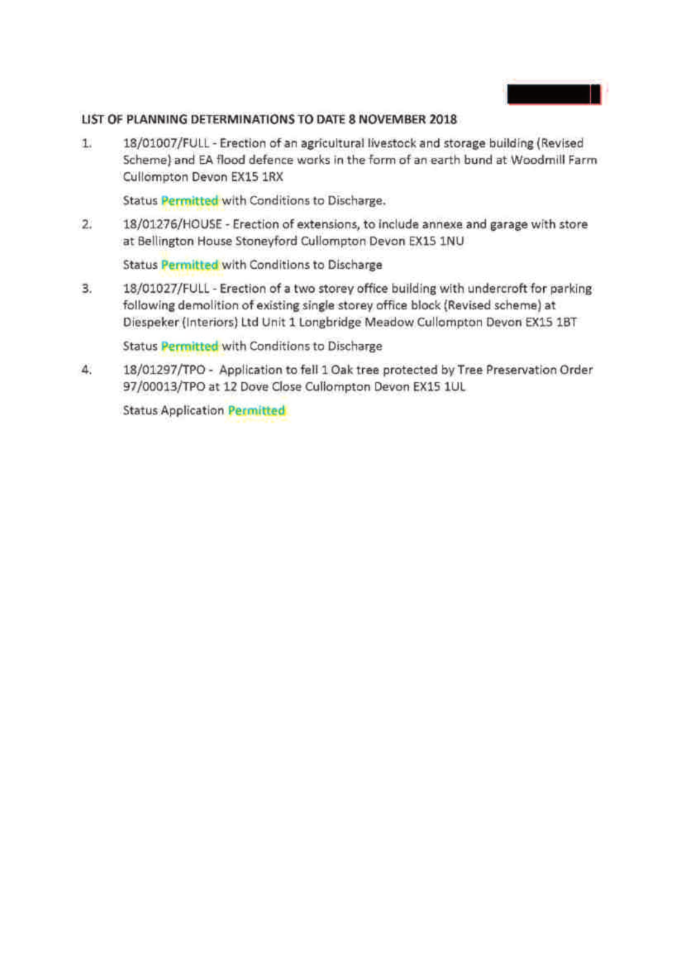

#### **LIST OF PLANNING DETERMINATIONS TO DATE 8 NOVEMBER 2018**

1. 18/01007/FULL - Erection of an agricultural livestock and storage building (Revised Scheme) and EA flood defence works in the form of an earth bund at Woodmill Farm Cullompton Devon EX15 1RX

Status **Permitted** with Conditions to Discharge.

2. 18/01276/HOUSE - Erection of extensions, to include annexe and garage with store at Bellington House Stoneyford Cullompton Devon EX15 1NU

Status **Permitted** with Conditions to Discharge

3. 18/01027/FULL - Erection of a two storey office building with undercroft for parking following demolition of existing single storey office block (Revised scheme) at Diespeker (Interiors) Ltd Unit 1 Longbridge Meadow Cullompton Devon EX15 1BT

Status **Permitted** with Conditions to Discharge

4. 18/01297/TPO - Application to fell 1 Oak tree protected by Tree Preservation Order 97/00013/TPO at 12 Dove Close Cullompton Devon EX15 1UL

Status Application **Permitted**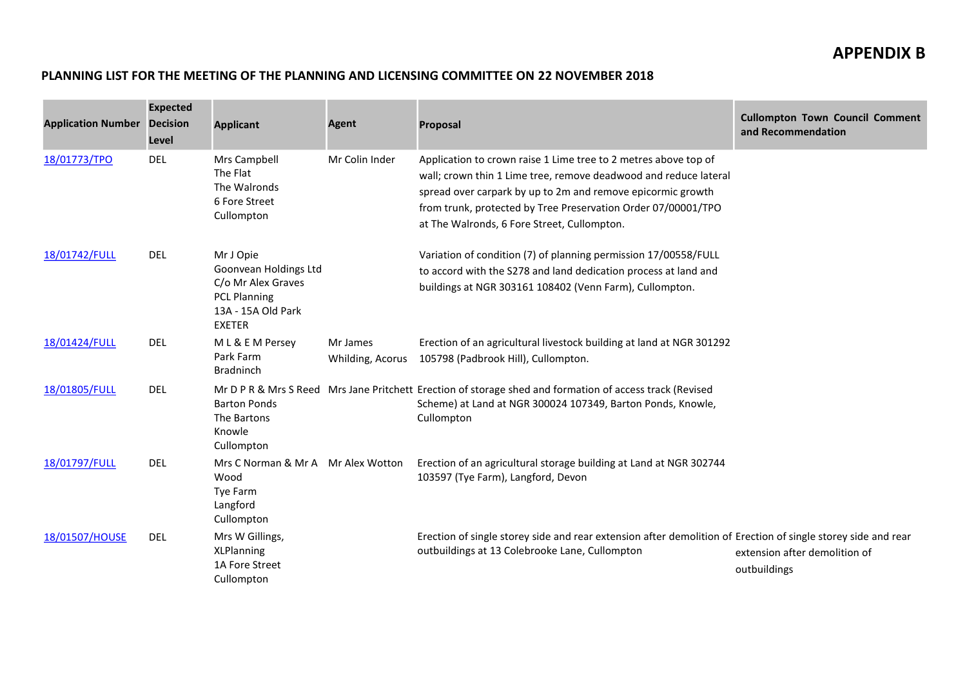#### **PLANNING LIST FOR THE MEETING OF THE PLANNING AND LICENSING COMMITTEE ON 22 NOVEMBER 2018**

| <b>Application Number Decision</b> | <b>Expected</b><br>Level | <b>Applicant</b>                                                                                                       | Agent                        | <b>Proposal</b>                                                                                                                                                                                                                                                                                                    | <b>Cullompton Town Council Comment</b><br>and Recommendation |
|------------------------------------|--------------------------|------------------------------------------------------------------------------------------------------------------------|------------------------------|--------------------------------------------------------------------------------------------------------------------------------------------------------------------------------------------------------------------------------------------------------------------------------------------------------------------|--------------------------------------------------------------|
| 18/01773/TPO                       | <b>DEL</b>               | Mrs Campbell<br>The Flat<br>The Walronds<br>6 Fore Street<br>Cullompton                                                | Mr Colin Inder               | Application to crown raise 1 Lime tree to 2 metres above top of<br>wall; crown thin 1 Lime tree, remove deadwood and reduce lateral<br>spread over carpark by up to 2m and remove epicormic growth<br>from trunk, protected by Tree Preservation Order 07/00001/TPO<br>at The Walronds, 6 Fore Street, Cullompton. |                                                              |
| 18/01742/FULL                      | <b>DEL</b>               | Mr J Opie<br>Goonvean Holdings Ltd<br>C/o Mr Alex Graves<br><b>PCL Planning</b><br>13A - 15A Old Park<br><b>EXETER</b> |                              | Variation of condition (7) of planning permission 17/00558/FULL<br>to accord with the S278 and land dedication process at land and<br>buildings at NGR 303161 108402 (Venn Farm), Cullompton.                                                                                                                      |                                                              |
| 18/01424/FULL                      | <b>DEL</b>               | ML & E M Persey<br>Park Farm<br><b>Bradninch</b>                                                                       | Mr James<br>Whilding, Acorus | Erection of an agricultural livestock building at land at NGR 301292<br>105798 (Padbrook Hill), Cullompton.                                                                                                                                                                                                        |                                                              |
| 18/01805/FULL                      | <b>DEL</b>               | <b>Barton Ponds</b><br>The Bartons<br>Knowle<br>Cullompton                                                             |                              | Mr D P R & Mrs S Reed Mrs Jane Pritchett Erection of storage shed and formation of access track (Revised<br>Scheme) at Land at NGR 300024 107349, Barton Ponds, Knowle,<br>Cullompton                                                                                                                              |                                                              |
| 18/01797/FULL                      | <b>DEL</b>               | Mrs C Norman & Mr A Mr Alex Wotton<br>Wood<br>Tye Farm<br>Langford<br>Cullompton                                       |                              | Erection of an agricultural storage building at Land at NGR 302744<br>103597 (Tye Farm), Langford, Devon                                                                                                                                                                                                           |                                                              |
| 18/01507/HOUSE                     | <b>DEL</b>               | Mrs W Gillings,<br><b>XLPlanning</b><br>1A Fore Street<br>Cullompton                                                   |                              | Erection of single storey side and rear extension after demolition of Erection of single storey side and rear<br>outbuildings at 13 Colebrooke Lane, Cullompton                                                                                                                                                    | extension after demolition of<br>outbuildings                |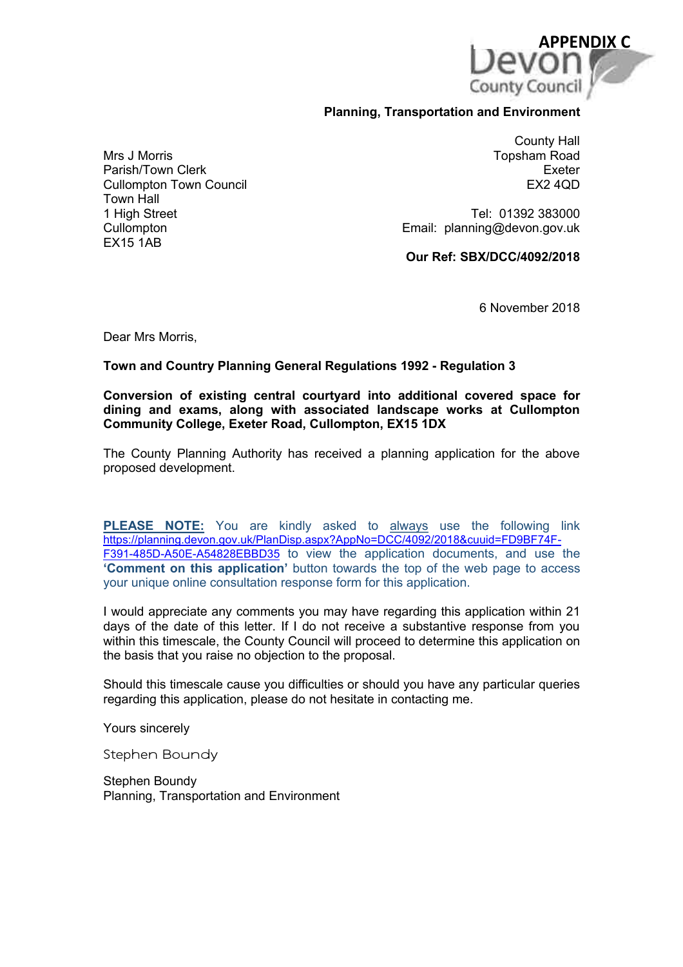

#### **Planning, Transportation and Environment**

Mrs J Morris Parish/Town Clerk Cullompton Town Council Town Hall 1 High Street **Cullompton** EX15 1AB

County Hall Topsham Road Exeter EX2 4QD

Tel: 01392 383000 Email: planning@devon.gov.uk

**Our Ref: SBX/DCC/4092/2018**

6 November 2018

Dear Mrs Morris,

#### **Town and Country Planning General Regulations 1992 - Regulation 3**

**Conversion of existing central courtyard into additional covered space for dining and exams, along with associated landscape works at Cullompton Community College, Exeter Road, Cullompton, EX15 1DX**

The County Planning Authority has received a planning application for the above proposed development.

**PLEASE NOTE:** You are kindly asked to always use the following link https://planning.devon.gov.uk/PlanDisp.aspx?AppNo=DCC/4092/2018&cuuid=FD9BF74F-F391-485D-A50E-A54828EBBD35 to view the application documents, and use the **Comment on this application'** button towards the top of the web page to access your unique online consultation response form for this application.

I would appreciate any comments you may have regarding this application within 21 days of the date of this letter. If I do not receive a substantive response from you within this timescale, the County Council will proceed to determine this application on the basis that you raise no objection to the proposal.

Should this timescale cause you difficulties or should you have any particular queries regarding this application, please do not hesitate in contacting me.

Yours sincerely

Stephen Boundy

Stephen Boundy Planning, Transportation and Environment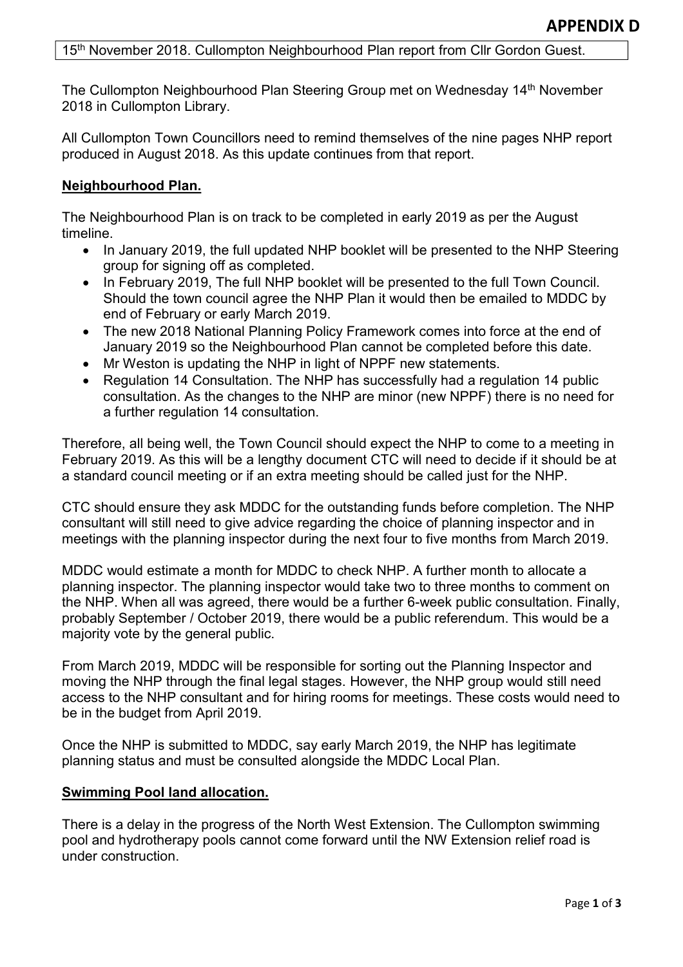### 15<sup>th</sup> November 2018. Cullompton Neighbourhood Plan report from Cllr Gordon Guest.

The Cullompton Neighbourhood Plan Steering Group met on Wednesday 14th November 2018 in Cullompton Library.

All Cullompton Town Councillors need to remind themselves of the nine pages NHP report produced in August 2018. As this update continues from that report.

### **Neighbourhood Plan.**

The Neighbourhood Plan is on track to be completed in early 2019 as per the August timeline.

- In January 2019, the full updated NHP booklet will be presented to the NHP Steering group for signing off as completed.
- In February 2019, The full NHP booklet will be presented to the full Town Council. Should the town council agree the NHP Plan it would then be emailed to MDDC by end of February or early March 2019.
- The new 2018 National Planning Policy Framework comes into force at the end of January 2019 so the Neighbourhood Plan cannot be completed before this date.
- Mr Weston is updating the NHP in light of NPPF new statements.
- Regulation 14 Consultation. The NHP has successfully had a regulation 14 public consultation. As the changes to the NHP are minor (new NPPF) there is no need for a further regulation 14 consultation.

Therefore, all being well, the Town Council should expect the NHP to come to a meeting in February 2019. As this will be a lengthy document CTC will need to decide if it should be at a standard council meeting or if an extra meeting should be called just for the NHP.

CTC should ensure they ask MDDC for the outstanding funds before completion. The NHP consultant will still need to give advice regarding the choice of planning inspector and in meetings with the planning inspector during the next four to five months from March 2019.

MDDC would estimate a month for MDDC to check NHP. A further month to allocate a planning inspector. The planning inspector would take two to three months to comment on the NHP. When all was agreed, there would be a further 6-week public consultation. Finally, probably September / October 2019, there would be a public referendum. This would be a majority vote by the general public.

From March 2019, MDDC will be responsible for sorting out the Planning Inspector and moving the NHP through the final legal stages. However, the NHP group would still need access to the NHP consultant and for hiring rooms for meetings. These costs would need to be in the budget from April 2019.

Once the NHP is submitted to MDDC, say early March 2019, the NHP has legitimate planning status and must be consulted alongside the MDDC Local Plan.

#### **Swimming Pool land allocation.**

There is a delay in the progress of the North West Extension. The Cullompton swimming pool and hydrotherapy pools cannot come forward until the NW Extension relief road is under construction.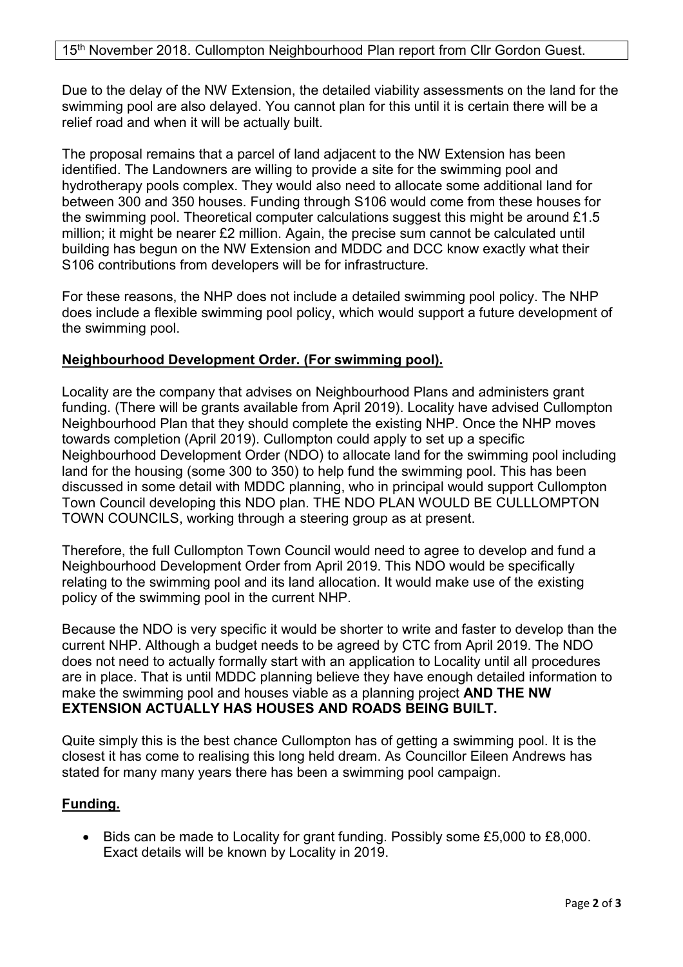Due to the delay of the NW Extension, the detailed viability assessments on the land for the swimming pool are also delayed. You cannot plan for this until it is certain there will be a relief road and when it will be actually built.

The proposal remains that a parcel of land adjacent to the NW Extension has been identified. The Landowners are willing to provide a site for the swimming pool and hydrotherapy pools complex. They would also need to allocate some additional land for between 300 and 350 houses. Funding through S106 would come from these houses for the swimming pool. Theoretical computer calculations suggest this might be around £1.5 million; it might be nearer £2 million. Again, the precise sum cannot be calculated until building has begun on the NW Extension and MDDC and DCC know exactly what their S106 contributions from developers will be for infrastructure.

For these reasons, the NHP does not include a detailed swimming pool policy. The NHP does include a flexible swimming pool policy, which would support a future development of the swimming pool.

## **Neighbourhood Development Order. (For swimming pool).**

Locality are the company that advises on Neighbourhood Plans and administers grant funding. (There will be grants available from April 2019). Locality have advised Cullompton Neighbourhood Plan that they should complete the existing NHP. Once the NHP moves towards completion (April 2019). Cullompton could apply to set up a specific Neighbourhood Development Order (NDO) to allocate land for the swimming pool including land for the housing (some 300 to 350) to help fund the swimming pool. This has been discussed in some detail with MDDC planning, who in principal would support Cullompton Town Council developing this NDO plan. THE NDO PLAN WOULD BE CULLLOMPTON TOWN COUNCILS, working through a steering group as at present.

Therefore, the full Cullompton Town Council would need to agree to develop and fund a Neighbourhood Development Order from April 2019. This NDO would be specifically relating to the swimming pool and its land allocation. It would make use of the existing policy of the swimming pool in the current NHP.

Because the NDO is very specific it would be shorter to write and faster to develop than the current NHP. Although a budget needs to be agreed by CTC from April 2019. The NDO does not need to actually formally start with an application to Locality until all procedures are in place. That is until MDDC planning believe they have enough detailed information to make the swimming pool and houses viable as a planning project **AND THE NW EXTENSION ACTUALLY HAS HOUSES AND ROADS BEING BUILT.** 

Quite simply this is the best chance Cullompton has of getting a swimming pool. It is the closest it has come to realising this long held dream. As Councillor Eileen Andrews has stated for many many years there has been a swimming pool campaign.

## **Funding.**

 Bids can be made to Locality for grant funding. Possibly some £5,000 to £8,000. Exact details will be known by Locality in 2019.